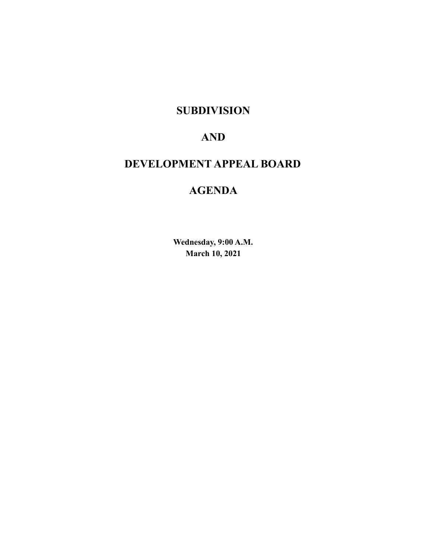## **SUBDIVISION**

## **AND**

# **DEVELOPMENT APPEAL BOARD**

# **AGENDA**

**Wednesday, 9:00 A.M. March 10, 2021**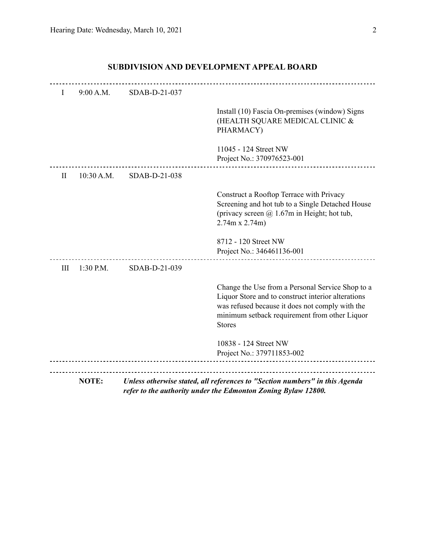| I            | 9:00 A.M.   | SDAB-D-21-037 |                                                                                                                                                                                                                             |
|--------------|-------------|---------------|-----------------------------------------------------------------------------------------------------------------------------------------------------------------------------------------------------------------------------|
|              |             |               | Install (10) Fascia On-premises (window) Signs<br>(HEALTH SQUARE MEDICAL CLINIC &<br>PHARMACY)                                                                                                                              |
|              |             |               | 11045 - 124 Street NW<br>Project No.: 370976523-001                                                                                                                                                                         |
| $\mathbf{I}$ | 10:30 A.M.  | SDAB-D-21-038 |                                                                                                                                                                                                                             |
|              |             |               | Construct a Rooftop Terrace with Privacy<br>Screening and hot tub to a Single Detached House<br>(privacy screen $(a)$ 1.67m in Height; hot tub,<br>$2.74m \times 2.74m$                                                     |
|              |             |               | 8712 - 120 Street NW<br>Project No.: 346461136-001                                                                                                                                                                          |
| III          | $1:30$ P.M. | SDAB-D-21-039 |                                                                                                                                                                                                                             |
|              |             |               | Change the Use from a Personal Service Shop to a<br>Liquor Store and to construct interior alterations<br>was refused because it does not comply with the<br>minimum setback requirement from other Liquor<br><b>Stores</b> |
|              |             |               | 10838 - 124 Street NW<br>Project No.: 379711853-002                                                                                                                                                                         |
|              | NOTE:       |               | Unless otherwise stated, all references to "Section numbers" in this Agenda<br>refer to the authority under the Edmonton Zoning Bylaw 12800.                                                                                |

## **SUBDIVISION AND DEVELOPMENT APPEAL BOARD**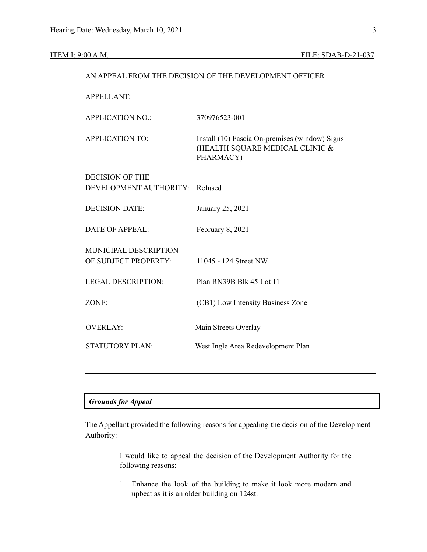| AN APPEAL FROM THE DECISION OF THE DEVELOPMENT OFFICER |                                                                                                |  |  |  |  |
|--------------------------------------------------------|------------------------------------------------------------------------------------------------|--|--|--|--|
| <b>APPELLANT:</b>                                      |                                                                                                |  |  |  |  |
| <b>APPLICATION NO.:</b>                                | 370976523-001                                                                                  |  |  |  |  |
| <b>APPLICATION TO:</b>                                 | Install (10) Fascia On-premises (window) Signs<br>(HEALTH SQUARE MEDICAL CLINIC &<br>PHARMACY) |  |  |  |  |
| <b>DECISION OF THE</b>                                 |                                                                                                |  |  |  |  |
| DEVELOPMENT AUTHORITY:                                 | Refused                                                                                        |  |  |  |  |
| <b>DECISION DATE:</b>                                  | January 25, 2021                                                                               |  |  |  |  |
| DATE OF APPEAL:                                        | February 8, 2021                                                                               |  |  |  |  |
| MUNICIPAL DESCRIPTION<br>OF SUBJECT PROPERTY:          | 11045 - 124 Street NW                                                                          |  |  |  |  |
| <b>LEGAL DESCRIPTION:</b>                              | Plan RN39B Blk 45 Lot 11                                                                       |  |  |  |  |
| ZONE:                                                  | (CB1) Low Intensity Business Zone                                                              |  |  |  |  |
| <b>OVERLAY:</b>                                        | Main Streets Overlay                                                                           |  |  |  |  |
| <b>STATUTORY PLAN:</b>                                 | West Ingle Area Redevelopment Plan                                                             |  |  |  |  |
|                                                        |                                                                                                |  |  |  |  |

### *Grounds for Appeal*

The Appellant provided the following reasons for appealing the decision of the Development Authority:

> I would like to appeal the decision of the Development Authority for the following reasons:

> 1. Enhance the look of the building to make it look more modern and upbeat as it is an older building on 124st.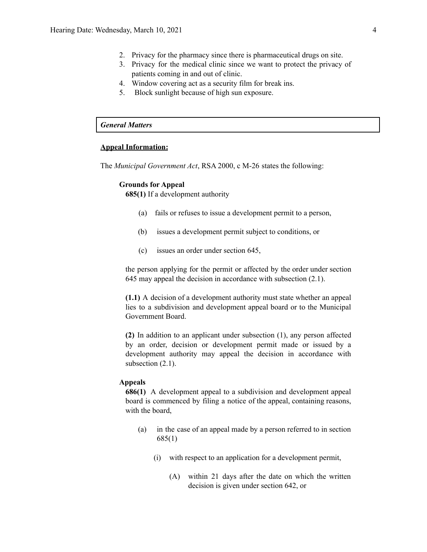- 2. Privacy for the pharmacy since there is pharmaceutical drugs on site.
- 3. Privacy for the medical clinic since we want to protect the privacy of patients coming in and out of clinic.
- 4. Window covering act as a security film for break ins.
- 5. Block sunlight because of high sun exposure.

#### *General Matters*

#### **Appeal Information:**

The *Municipal Government Act*, RSA 2000, c M-26 states the following:

#### **Grounds for Appeal**

**685(1)** If a development authority

- (a) fails or refuses to issue a development permit to a person,
- (b) issues a development permit subject to conditions, or
- (c) issues an order under section 645,

the person applying for the permit or affected by the order under section 645 may appeal the decision in accordance with subsection (2.1).

**(1.1)** A decision of a development authority must state whether an appeal lies to a subdivision and development appeal board or to the Municipal Government Board.

**(2)** In addition to an applicant under subsection (1), any person affected by an order, decision or development permit made or issued by a development authority may appeal the decision in accordance with subsection  $(2.1)$ .

#### **Appeals**

**686(1)** A development appeal to a subdivision and development appeal board is commenced by filing a notice of the appeal, containing reasons, with the board,

- (a) in the case of an appeal made by a person referred to in section 685(1)
	- (i) with respect to an application for a development permit,
		- (A) within 21 days after the date on which the written decision is given under section 642, or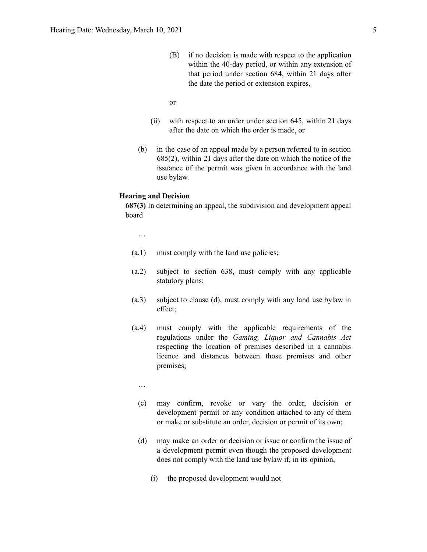- (B) if no decision is made with respect to the application within the 40-day period, or within any extension of that period under section 684, within 21 days after the date the period or extension expires,
- or
- (ii) with respect to an order under section 645, within 21 days after the date on which the order is made, or
- (b) in the case of an appeal made by a person referred to in section 685(2), within 21 days after the date on which the notice of the issuance of the permit was given in accordance with the land use bylaw.

#### **Hearing and Decision**

**687(3)** In determining an appeal, the subdivision and development appeal board

…

- (a.1) must comply with the land use policies;
- (a.2) subject to section 638, must comply with any applicable statutory plans;
- (a.3) subject to clause (d), must comply with any land use bylaw in effect;
- (a.4) must comply with the applicable requirements of the regulations under the *Gaming, Liquor and Cannabis Act* respecting the location of premises described in a cannabis licence and distances between those premises and other premises;
	- …
	- (c) may confirm, revoke or vary the order, decision or development permit or any condition attached to any of them or make or substitute an order, decision or permit of its own;
	- (d) may make an order or decision or issue or confirm the issue of a development permit even though the proposed development does not comply with the land use bylaw if, in its opinion,
		- (i) the proposed development would not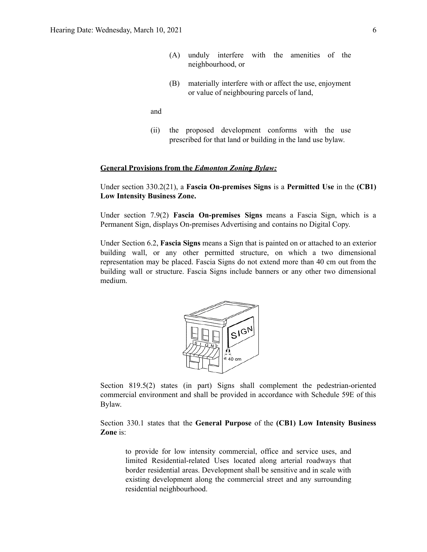- (A) unduly interfere with the amenities of the neighbourhood, or
- (B) materially interfere with or affect the use, enjoyment or value of neighbouring parcels of land,

and

(ii) the proposed development conforms with the use prescribed for that land or building in the land use bylaw.

#### **General Provisions from the** *Edmonton Zoning Bylaw:*

Under section 330.2(21), a **Fascia On-premises Signs** is a **Permitted Use** in the **(CB1) Low Intensity Business Zone.**

Under section 7.9(2) **Fascia On-premises Signs** means a Fascia Sign, which is a Permanent Sign, displays On-premises Advertising and contains no Digital Copy.

Under Section 6.2, **Fascia Signs** means a Sign that is painted on or attached to an exterior building wall, or any other permitted structure, on which a two dimensional representation may be placed. Fascia Signs do not extend more than 40 cm out from the building wall or structure. Fascia Signs include banners or any other two dimensional medium.



Section 819.5(2) states (in part) Signs shall complement the pedestrian-oriented commercial environment and shall be provided in accordance with Schedule 59E of this Bylaw.

Section 330.1 states that the **General Purpose** of the **(CB1) Low Intensity Business Zone** is:

to provide for low intensity commercial, office and service uses, and limited Residential-related Uses located along arterial roadways that border residential areas. Development shall be sensitive and in scale with existing development along the commercial street and any surrounding residential neighbourhood.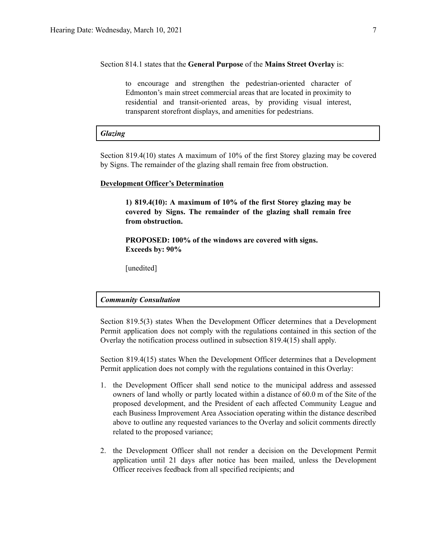Section 814.1 states that the **General Purpose** of the **Mains Street Overlay** is:

to encourage and strengthen the pedestrian-oriented character of Edmonton's main street commercial areas that are located in proximity to residential and transit-oriented areas, by providing visual interest, transparent storefront displays, and amenities for pedestrians.

#### *Glazing*

Section 819.4(10) states A maximum of 10% of the first Storey glazing may be covered by Signs. The remainder of the glazing shall remain free from obstruction.

#### **Development Officer's Determination**

**1) 819.4(10): A maximum of 10% of the first Storey glazing may be covered by Signs. The remainder of the glazing shall remain free from obstruction.**

**PROPOSED: 100% of the windows are covered with signs. Exceeds by: 90%**

[unedited]

#### *Community Consultation*

Section 819.5(3) states When the Development Officer determines that a Development Permit application does not comply with the regulations contained in this section of the Overlay the notification process outlined in subsection 819.4(15) shall apply.

Section 819.4(15) states When the Development Officer determines that a Development Permit application does not comply with the regulations contained in this Overlay:

- 1. the Development Officer shall send notice to the municipal address and assessed owners of land wholly or partly located within a distance of 60.0 m of the Site of the proposed development, and the President of each affected Community League and each Business Improvement Area Association operating within the distance described above to outline any requested variances to the Overlay and solicit comments directly related to the proposed variance;
- 2. the Development Officer shall not render a decision on the Development Permit application until 21 days after notice has been mailed, unless the Development Officer receives feedback from all specified recipients; and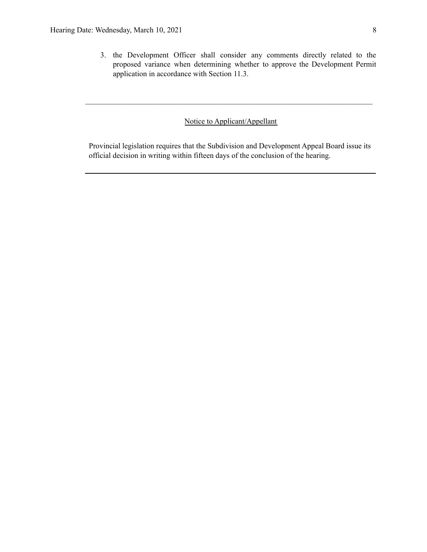3. the Development Officer shall consider any comments directly related to the proposed variance when determining whether to approve the Development Permit application in accordance with Section 11.3.

### Notice to Applicant/Appellant

 $\mathcal{L}_\text{max} = \frac{1}{2} \sum_{i=1}^n \mathcal{L}_\text{max} = \frac{1}{2} \sum_{i=1}^n \mathcal{L}_\text{max} = \frac{1}{2} \sum_{i=1}^n \mathcal{L}_\text{max} = \frac{1}{2} \sum_{i=1}^n \mathcal{L}_\text{max} = \frac{1}{2} \sum_{i=1}^n \mathcal{L}_\text{max} = \frac{1}{2} \sum_{i=1}^n \mathcal{L}_\text{max} = \frac{1}{2} \sum_{i=1}^n \mathcal{L}_\text{max} = \frac{1}{2} \sum_{i=$ 

Provincial legislation requires that the Subdivision and Development Appeal Board issue its official decision in writing within fifteen days of the conclusion of the hearing.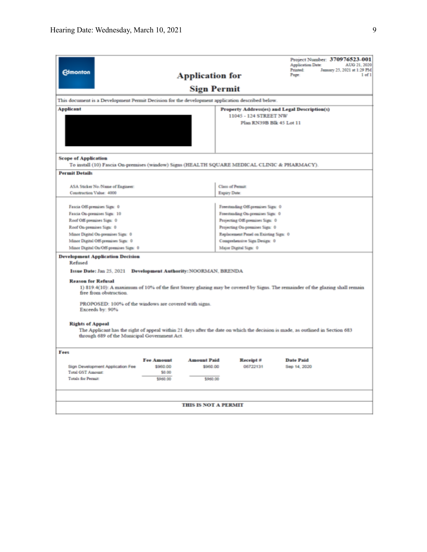| <b>Edmonton</b>                                                                                                                                                                                                                                                  |                    | <b>Application for</b>   |                                   | Application Date:<br>Printed:<br>Page:        | Project Number: 370976523-001<br>AUG 21, 2020<br>January 25, 2021 at 1:29 PM<br>$1$ of $1$ |
|------------------------------------------------------------------------------------------------------------------------------------------------------------------------------------------------------------------------------------------------------------------|--------------------|--------------------------|-----------------------------------|-----------------------------------------------|--------------------------------------------------------------------------------------------|
|                                                                                                                                                                                                                                                                  |                    | <b>Sign Permit</b>       |                                   |                                               |                                                                                            |
| This document is a Development Permit Decision for the development application described below.                                                                                                                                                                  |                    |                          |                                   |                                               |                                                                                            |
| <b>Applicant</b>                                                                                                                                                                                                                                                 |                    |                          |                                   | Property Address(es) and Legal Description(s) |                                                                                            |
|                                                                                                                                                                                                                                                                  |                    |                          | 11045 - 124 STREET NW             |                                               |                                                                                            |
|                                                                                                                                                                                                                                                                  |                    | Plan RN39B Blk 45 Lot 11 |                                   |                                               |                                                                                            |
| <b>Scope of Application</b>                                                                                                                                                                                                                                      |                    |                          |                                   |                                               |                                                                                            |
| To install (10) Fascia On-premises (window) Signs (HEALTH SQUARE MEDICAL CLINIC & PHARMACY).                                                                                                                                                                     |                    |                          |                                   |                                               |                                                                                            |
| <b>Permit Details</b>                                                                                                                                                                                                                                            |                    |                          |                                   |                                               |                                                                                            |
| ASA Sticker No./Name of Engineer:                                                                                                                                                                                                                                |                    |                          | Class of Permit:                  |                                               |                                                                                            |
| Construction Value: 4000                                                                                                                                                                                                                                         |                    | Expiry Date:             |                                   |                                               |                                                                                            |
|                                                                                                                                                                                                                                                                  |                    |                          |                                   |                                               |                                                                                            |
| Fascia Off-premises Sign: 0                                                                                                                                                                                                                                      |                    |                          | Freestanding Off-premises Sign: 0 |                                               |                                                                                            |
| Fascia Ou-premises Sign: 10                                                                                                                                                                                                                                      |                    |                          | Freestanding On-premises Sign: 0  |                                               |                                                                                            |
| Roof Off-premises Sign: 0                                                                                                                                                                                                                                        |                    |                          | Projecting Off-premises Sign: 0   |                                               |                                                                                            |
| Roof Ou-premises Sign: 0                                                                                                                                                                                                                                         |                    |                          | Projecting On-premises Sign: 0    |                                               |                                                                                            |
| Minor Digital On-premises Sign: 0                                                                                                                                                                                                                                |                    |                          |                                   | Replacement Panel on Existing Sign: 0         |                                                                                            |
| Minor Digital Off-premises Sign: 0                                                                                                                                                                                                                               |                    |                          | Comprehensive Sign Design: 0      |                                               |                                                                                            |
| Minor Digital On/Off-premises Sign: 0                                                                                                                                                                                                                            |                    |                          | Major Digital Sign: 0             |                                               |                                                                                            |
| <b>Development Application Decision</b><br>Refused<br>Issue Date: Jan 25, 2021  Development Authority: NOORMAN, BRENDA                                                                                                                                           |                    |                          |                                   |                                               |                                                                                            |
| <b>Reason for Refusal</b><br>1) 819.4(10): A maximum of 10% of the first Storey glazing may be covered by Signs. The remainder of the glazing shall remain<br>free from obstruction.<br>PROPOSED: 100% of the windows are covered with signs.<br>Exceeds by: 90% |                    |                          |                                   |                                               |                                                                                            |
| <b>Rights of Appeal</b><br>The Applicant has the right of appeal within 21 days after the date on which the decision is made, as outlined in Section 683<br>through 689 of the Municipal Government Act.                                                         |                    |                          |                                   |                                               |                                                                                            |
| Fees                                                                                                                                                                                                                                                             |                    |                          |                                   |                                               |                                                                                            |
|                                                                                                                                                                                                                                                                  | <b>Fee Amount</b>  | <b>Amount Paid</b>       | Receipt #                         | <b>Date Paid</b>                              |                                                                                            |
| Sign Development Application Fee                                                                                                                                                                                                                                 | \$960.00           | \$960.00                 | 06722131                          | Sep 14, 2020                                  |                                                                                            |
| <b>Total GST Amount:</b><br><b>Totals for Permit:</b>                                                                                                                                                                                                            | \$0.00<br>\$960.00 | \$960.00                 |                                   |                                               |                                                                                            |
|                                                                                                                                                                                                                                                                  |                    |                          |                                   |                                               |                                                                                            |
|                                                                                                                                                                                                                                                                  |                    |                          |                                   |                                               |                                                                                            |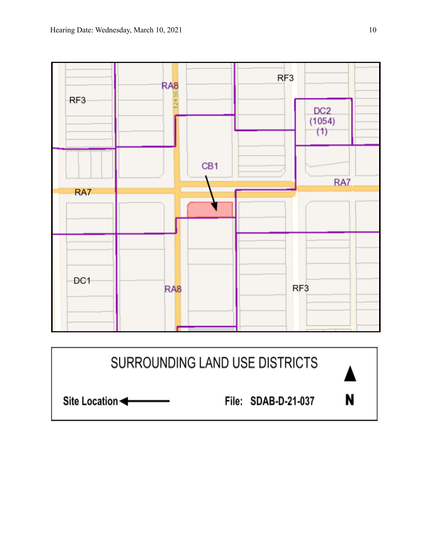

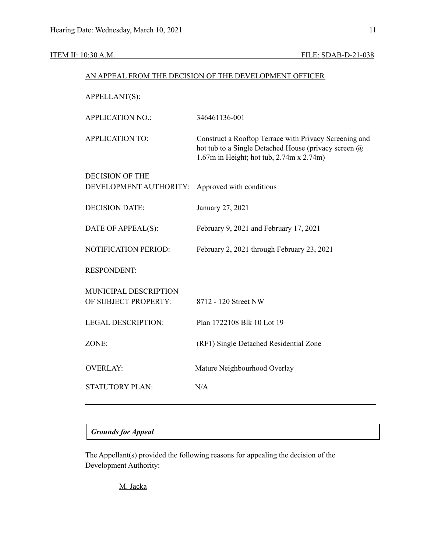| AN APPEAL FROM THE DECISION OF THE DEVELOPMENT OFFICER |                                                                                                                                                                     |  |  |  |
|--------------------------------------------------------|---------------------------------------------------------------------------------------------------------------------------------------------------------------------|--|--|--|
| APPELLANT(S):                                          |                                                                                                                                                                     |  |  |  |
| <b>APPLICATION NO.:</b>                                | 346461136-001                                                                                                                                                       |  |  |  |
| <b>APPLICATION TO:</b>                                 | Construct a Rooftop Terrace with Privacy Screening and<br>hot tub to a Single Detached House (privacy screen $\omega$ )<br>1.67m in Height; hot tub, 2.74m x 2.74m) |  |  |  |
| <b>DECISION OF THE</b>                                 |                                                                                                                                                                     |  |  |  |
| DEVELOPMENT AUTHORITY:                                 | Approved with conditions                                                                                                                                            |  |  |  |
| <b>DECISION DATE:</b>                                  | January 27, 2021                                                                                                                                                    |  |  |  |
| DATE OF APPEAL(S):                                     | February 9, 2021 and February 17, 2021                                                                                                                              |  |  |  |
| <b>NOTIFICATION PERIOD:</b>                            | February 2, 2021 through February 23, 2021                                                                                                                          |  |  |  |
| <b>RESPONDENT:</b>                                     |                                                                                                                                                                     |  |  |  |
| MUNICIPAL DESCRIPTION                                  |                                                                                                                                                                     |  |  |  |
| OF SUBJECT PROPERTY:                                   | 8712 - 120 Street NW                                                                                                                                                |  |  |  |
| <b>LEGAL DESCRIPTION:</b>                              | Plan 1722108 Blk 10 Lot 19                                                                                                                                          |  |  |  |
| ZONE:                                                  | (RF1) Single Detached Residential Zone                                                                                                                              |  |  |  |
| <b>OVERLAY:</b>                                        | Mature Neighbourhood Overlay                                                                                                                                        |  |  |  |
| <b>STATUTORY PLAN:</b>                                 | N/A                                                                                                                                                                 |  |  |  |
|                                                        |                                                                                                                                                                     |  |  |  |

## *Grounds for Appeal*

The Appellant(s) provided the following reasons for appealing the decision of the Development Authority:

M. Jacka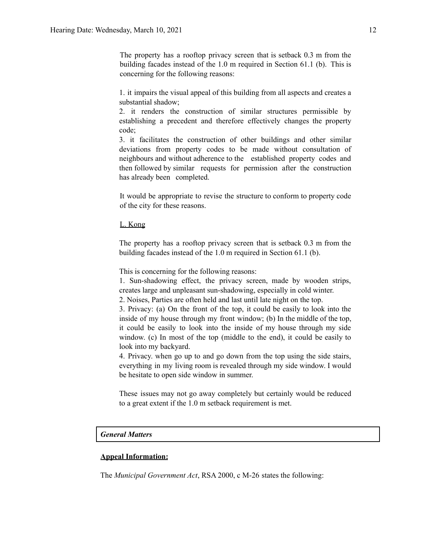The property has a rooftop privacy screen that is setback 0.3 m from the building facades instead of the 1.0 m required in Section 61.1 (b). This is concerning for the following reasons:

1. it impairs the visual appeal of this building from all aspects and creates a substantial shadow;

2. it renders the construction of similar structures permissible by establishing a precedent and therefore effectively changes the property code;

3. it facilitates the construction of other buildings and other similar deviations from property codes to be made without consultation of neighbours and without adherence to the established property codes and then followed by similar requests for permission after the construction has already been completed.

It would be appropriate to revise the structure to conform to property code of the city for these reasons.

#### L. Kong

The property has a rooftop privacy screen that is setback 0.3 m from the building facades instead of the 1.0 m required in Section 61.1 (b).

This is concerning for the following reasons:

1. Sun-shadowing effect, the privacy screen, made by wooden strips, creates large and unpleasant sun-shadowing, especially in cold winter.

2. Noises, Parties are often held and last until late night on the top.

3. Privacy: (a) On the front of the top, it could be easily to look into the inside of my house through my front window; (b) In the middle of the top, it could be easily to look into the inside of my house through my side window. (c) In most of the top (middle to the end), it could be easily to look into my backyard.

4. Privacy. when go up to and go down from the top using the side stairs, everything in my living room is revealed through my side window. I would be hesitate to open side window in summer.

These issues may not go away completely but certainly would be reduced to a great extent if the 1.0 m setback requirement is met.

#### *General Matters*

#### **Appeal Information:**

The *Municipal Government Act*, RSA 2000, c M-26 states the following: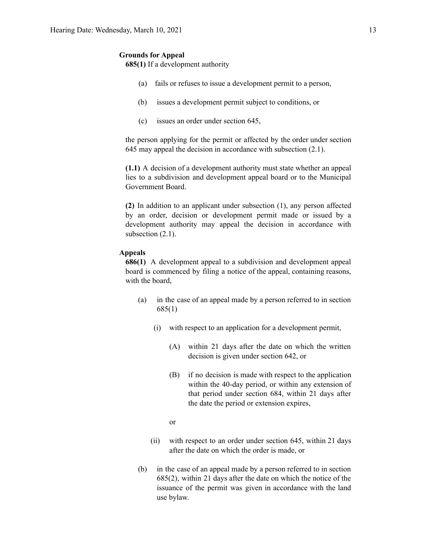#### **Grounds for Appeal**

**685(1)** If a development authority

- (a) fails or refuses to issue a development permit to a person,
- (b) issues a development permit subject to conditions, or
- (c) issues an order under section 645,

the person applying for the permit or affected by the order under section 645 may appeal the decision in accordance with subsection (2.1).

**(1.1)** A decision of a development authority must state whether an appeal lies to a subdivision and development appeal board or to the Municipal Government Board.

**(2)** In addition to an applicant under subsection (1), any person affected by an order, decision or development permit made or issued by a development authority may appeal the decision in accordance with subsection  $(2.1)$ .

### **Appeals**

**686(1)** A development appeal to a subdivision and development appeal board is commenced by filing a notice of the appeal, containing reasons, with the board,

- (a) in the case of an appeal made by a person referred to in section 685(1)
	- (i) with respect to an application for a development permit,
		- (A) within 21 days after the date on which the written decision is given under section 642, or
		- (B) if no decision is made with respect to the application within the 40-day period, or within any extension of that period under section 684, within 21 days after the date the period or extension expires,
		- or
	- (ii) with respect to an order under section 645, within 21 days after the date on which the order is made, or
- (b) in the case of an appeal made by a person referred to in section 685(2), within 21 days after the date on which the notice of the issuance of the permit was given in accordance with the land use bylaw.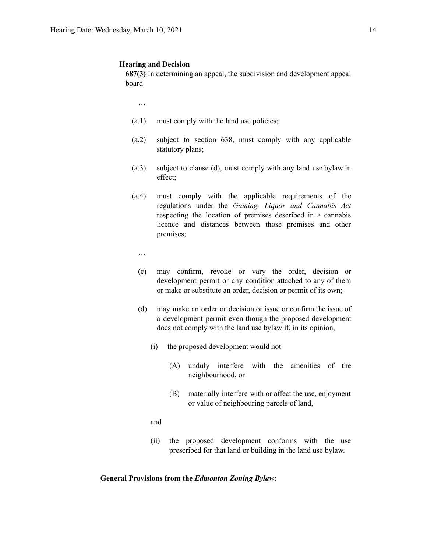#### **Hearing and Decision**

**687(3)** In determining an appeal, the subdivision and development appeal board

…

- (a.1) must comply with the land use policies;
- (a.2) subject to section 638, must comply with any applicable statutory plans;
- (a.3) subject to clause (d), must comply with any land use bylaw in effect;
- (a.4) must comply with the applicable requirements of the regulations under the *Gaming, Liquor and Cannabis Act* respecting the location of premises described in a cannabis licence and distances between those premises and other premises;
	- …
	- (c) may confirm, revoke or vary the order, decision or development permit or any condition attached to any of them or make or substitute an order, decision or permit of its own;
	- (d) may make an order or decision or issue or confirm the issue of a development permit even though the proposed development does not comply with the land use bylaw if, in its opinion,
		- (i) the proposed development would not
			- (A) unduly interfere with the amenities of the neighbourhood, or
			- (B) materially interfere with or affect the use, enjoyment or value of neighbouring parcels of land,
		- and
		- (ii) the proposed development conforms with the use prescribed for that land or building in the land use bylaw.

#### **General Provisions from the** *Edmonton Zoning Bylaw:*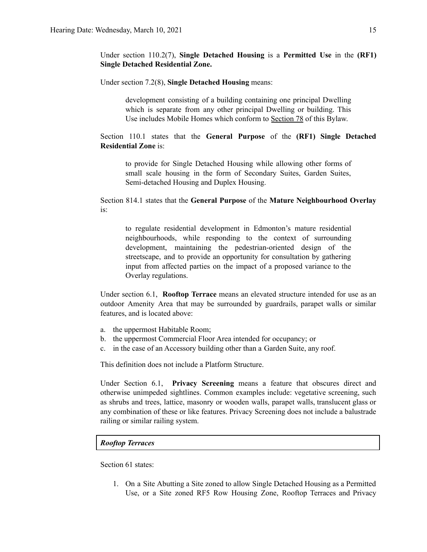Under section 110.2(7), **Single Detached Housing** is a **Permitted Use** in the **(RF1) Single Detached Residential Zone.**

Under section 7.2(8), **Single Detached Housing** means:

development consisting of a building containing one principal Dwelling which is separate from any other principal Dwelling or building. This Use includes Mobile Homes which conform to [Section](https://webdocs.edmonton.ca/zoningbylaw/ZoningBylaw/Part1/Special_Land/78__Mobile_Homes.htm) 78 of this Bylaw.

Section 110.1 states that the **General Purpose** of the **(RF1) Single Detached Residential Zone** is:

to provide for Single Detached Housing while allowing other forms of small scale housing in the form of Secondary Suites, Garden Suites, Semi-detached Housing and Duplex Housing.

Section 814.1 states that the **General Purpose** of the **Mature Neighbourhood Overlay** is:

to regulate residential development in Edmonton's mature residential neighbourhoods, while responding to the context of surrounding development, maintaining the pedestrian-oriented design of the streetscape, and to provide an opportunity for consultation by gathering input from affected parties on the impact of a proposed variance to the Overlay regulations.

Under section 6.1, **Rooftop Terrace** means an elevated structure intended for use as an outdoor Amenity Area that may be surrounded by guardrails, parapet walls or similar features, and is located above:

- a. the uppermost Habitable Room;
- b. the uppermost Commercial Floor Area intended for occupancy; or
- c. in the case of an Accessory building other than a Garden Suite, any roof.

This definition does not include a Platform Structure.

Under Section 6.1, **Privacy Screening** means a feature that obscures direct and otherwise unimpeded sightlines. Common examples include: vegetative screening, such as shrubs and trees, lattice, masonry or wooden walls, parapet walls, translucent glass or any combination of these or like features. Privacy Screening does not include a balustrade railing or similar railing system.

#### *Rooftop Terraces*

Section 61 states:

1. On a Site Abutting a Site zoned to allow Single Detached Housing as a Permitted Use, or a Site zoned RF5 Row Housing Zone, Rooftop Terraces and Privacy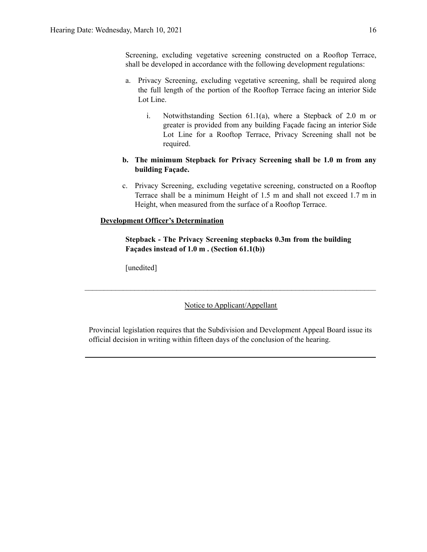Screening, excluding vegetative screening constructed on a Rooftop Terrace, shall be developed in accordance with the following development regulations:

- a. Privacy Screening, excluding vegetative screening, shall be required along the full length of the portion of the Rooftop Terrace facing an interior Side Lot Line.
	- i. Notwithstanding Section 61.1(a), where a Stepback of 2.0 m or greater is provided from any building Façade facing an interior Side Lot Line for a Rooftop Terrace, Privacy Screening shall not be required.
- **b. The minimum Stepback for Privacy Screening shall be 1.0 m from any building Façade.**
- c. Privacy Screening, excluding vegetative screening, constructed on a Rooftop Terrace shall be a minimum Height of 1.5 m and shall not exceed 1.7 m in Height, when measured from the surface of a Rooftop Terrace.

#### **Development Officer's Determination**

**Stepback - The Privacy Screening stepbacks 0.3m from the building Façades instead of 1.0 m . (Section 61.1(b))**

[unedited]

Notice to Applicant/Appellant

 $\mathcal{L}_\mathcal{L} = \{ \mathcal{L}_\mathcal{L} = \{ \mathcal{L}_\mathcal{L} = \{ \mathcal{L}_\mathcal{L} = \{ \mathcal{L}_\mathcal{L} = \{ \mathcal{L}_\mathcal{L} = \{ \mathcal{L}_\mathcal{L} = \{ \mathcal{L}_\mathcal{L} = \{ \mathcal{L}_\mathcal{L} = \{ \mathcal{L}_\mathcal{L} = \{ \mathcal{L}_\mathcal{L} = \{ \mathcal{L}_\mathcal{L} = \{ \mathcal{L}_\mathcal{L} = \{ \mathcal{L}_\mathcal{L} = \{ \mathcal{L}_\mathcal{$ 

Provincial legislation requires that the Subdivision and Development Appeal Board issue its official decision in writing within fifteen days of the conclusion of the hearing.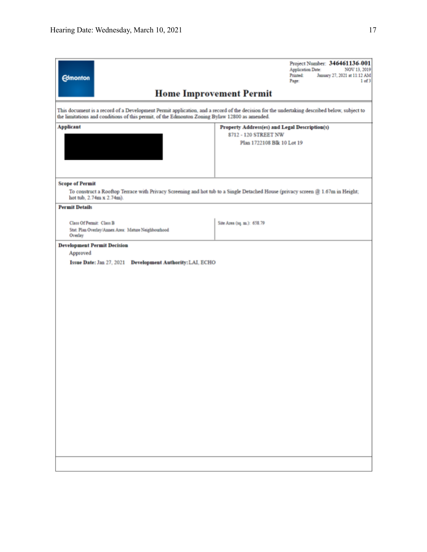| <b>Edmonton</b>                                                                               | Project Number: 346461136-001<br>Application Date:<br>NOV 13, 2019<br>Printed<br>January 27, 2021 at 11:12 AM<br>$1$ of $3$<br>Page:        |
|-----------------------------------------------------------------------------------------------|---------------------------------------------------------------------------------------------------------------------------------------------|
|                                                                                               | <b>Home Improvement Permit</b>                                                                                                              |
| the limitations and conditions of this permit, of the Edmonton Zoning Bylaw 12800 as amended. | This document is a record of a Development Permit application, and a record of the decision for the undertaking described below, subject to |
| <b>Applicant</b>                                                                              | Property Address(es) and Legal Description(s)                                                                                               |
|                                                                                               | 8712 - 120 STREET NW<br>Plan 1722108 Blk 10 Lot 19                                                                                          |
|                                                                                               |                                                                                                                                             |
|                                                                                               |                                                                                                                                             |
|                                                                                               |                                                                                                                                             |
| <b>Scope of Permit</b>                                                                        |                                                                                                                                             |
| hot tub, 2.74m x 2.74m).                                                                      | To construct a Rooftop Terrace with Privacy Screening and hot tub to a Single Detached House (privacy screen @ 1.67m in Height;             |
| <b>Permit Details</b>                                                                         |                                                                                                                                             |
| Class Of Permit: Class B                                                                      | Site Area (1q. m.): 658.79                                                                                                                  |
| Stat. Plan Overlay/Annex Area: Mature Neighbourhood<br>Overlay                                |                                                                                                                                             |
| <b>Development Permit Decision</b>                                                            |                                                                                                                                             |
| Approved                                                                                      |                                                                                                                                             |
| Issue Date: Jan 27, 2021 Development Authority: LAI, ECHO                                     |                                                                                                                                             |
|                                                                                               |                                                                                                                                             |
|                                                                                               |                                                                                                                                             |
|                                                                                               |                                                                                                                                             |
|                                                                                               |                                                                                                                                             |
|                                                                                               |                                                                                                                                             |
|                                                                                               |                                                                                                                                             |
|                                                                                               |                                                                                                                                             |
|                                                                                               |                                                                                                                                             |
|                                                                                               |                                                                                                                                             |
|                                                                                               |                                                                                                                                             |
|                                                                                               |                                                                                                                                             |
|                                                                                               |                                                                                                                                             |
|                                                                                               |                                                                                                                                             |
|                                                                                               |                                                                                                                                             |
|                                                                                               |                                                                                                                                             |
|                                                                                               |                                                                                                                                             |
|                                                                                               |                                                                                                                                             |
|                                                                                               |                                                                                                                                             |
|                                                                                               |                                                                                                                                             |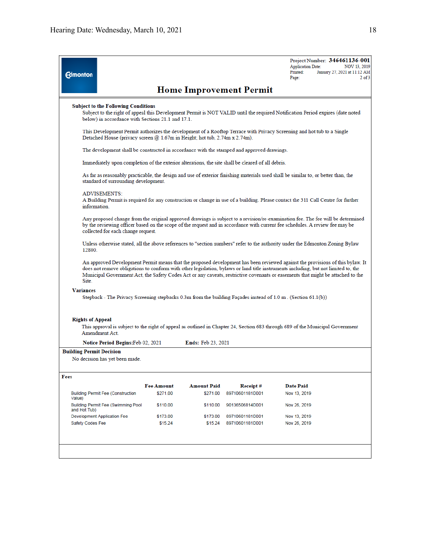| <b>Edmonton</b>                 |                                                                                                                                                                                                                                                                                                                                                                                                        |                   |                           |                                                                                                   | Project Number: 346461136-001<br><b>Application Date:</b><br>NOV 13, 2019<br>Printed:<br>January 27, 2021 at 11:12 AM<br>Page:<br>$2$ of $3$ |  |  |  |
|---------------------------------|--------------------------------------------------------------------------------------------------------------------------------------------------------------------------------------------------------------------------------------------------------------------------------------------------------------------------------------------------------------------------------------------------------|-------------------|---------------------------|---------------------------------------------------------------------------------------------------|----------------------------------------------------------------------------------------------------------------------------------------------|--|--|--|
|                                 |                                                                                                                                                                                                                                                                                                                                                                                                        |                   |                           | <b>Home Improvement Permit</b>                                                                    |                                                                                                                                              |  |  |  |
|                                 | <b>Subject to the Following Conditions</b><br>below) in accordance with Sections 21.1 and 17.1.                                                                                                                                                                                                                                                                                                        |                   |                           |                                                                                                   | Subject to the right of appeal this Development Permit is NOT VALID until the required Notification Period expires (date noted               |  |  |  |
|                                 | This Development Permit authorizes the development of a Rooftop Terrace with Privacy Screening and hot tub to a Single<br>Detached House (privacy screen @ 1.67m in Height; hot tub, 2.74m x 2.74m).                                                                                                                                                                                                   |                   |                           |                                                                                                   |                                                                                                                                              |  |  |  |
|                                 |                                                                                                                                                                                                                                                                                                                                                                                                        |                   |                           | The development shall be constructed in accordance with the stamped and approved drawings.        |                                                                                                                                              |  |  |  |
|                                 |                                                                                                                                                                                                                                                                                                                                                                                                        |                   |                           | Immediately upon completion of the exterior alterations, the site shall be cleared of all debris. |                                                                                                                                              |  |  |  |
|                                 | standard of surrounding development.                                                                                                                                                                                                                                                                                                                                                                   |                   |                           |                                                                                                   | As far as reasonably practicable, the design and use of exterior finishing materials used shall be similar to, or better than, the           |  |  |  |
| information.                    | <b>ADVISEMENTS:</b>                                                                                                                                                                                                                                                                                                                                                                                    |                   |                           |                                                                                                   | A Building Permit is required for any construction or change in use of a building. Please contact the 311 Call Centre for further            |  |  |  |
|                                 | Any proposed change from the original approved drawings is subject to a revision/re-examination fee. The fee will be determined<br>by the reviewing officer based on the scope of the request and in accordance with current fee schedules. A review fee may be<br>collected for each change request.                                                                                                  |                   |                           |                                                                                                   |                                                                                                                                              |  |  |  |
|                                 | Unless otherwise stated, all the above references to "section numbers" refer to the authority under the Edmonton Zoning Bylaw<br>12800                                                                                                                                                                                                                                                                 |                   |                           |                                                                                                   |                                                                                                                                              |  |  |  |
| Site.                           | An approved Development Permit means that the proposed development has been reviewed against the provisions of this bylaw. It<br>does not remove obligations to conform with other legislation, bylaws or land title instruments including, but not limited to, the<br>Municipal Government Act, the Safety Codes Act or any caveats, restrictive covenants or easements that might be attached to the |                   |                           |                                                                                                   |                                                                                                                                              |  |  |  |
| <b>Variances</b>                |                                                                                                                                                                                                                                                                                                                                                                                                        |                   |                           |                                                                                                   | Stepback - The Privacy Screening stepbacks $0.3$ m from the building Façades instead of $1.0$ m. (Section $61.1(b)$ )                        |  |  |  |
| <b>Rights of Appeal</b>         | Amendment Act.<br>Notice Period Begins: Feb 02, 2021                                                                                                                                                                                                                                                                                                                                                   |                   | <b>Ends: Feb 23, 2021</b> |                                                                                                   | This approval is subject to the right of appeal as outlined in Chapter 24, Section 683 through 689 of the Municipal Government               |  |  |  |
| <b>Building Permit Decision</b> |                                                                                                                                                                                                                                                                                                                                                                                                        |                   |                           |                                                                                                   |                                                                                                                                              |  |  |  |
|                                 | No decision has yet been made.                                                                                                                                                                                                                                                                                                                                                                         |                   |                           |                                                                                                   |                                                                                                                                              |  |  |  |
| Fees                            |                                                                                                                                                                                                                                                                                                                                                                                                        |                   |                           |                                                                                                   |                                                                                                                                              |  |  |  |
|                                 |                                                                                                                                                                                                                                                                                                                                                                                                        | <b>Fee Amount</b> | <b>Amount Paid</b>        | Receipt#                                                                                          | <b>Date Paid</b>                                                                                                                             |  |  |  |
| Value)                          | <b>Building Permit Fee (Construction</b>                                                                                                                                                                                                                                                                                                                                                               | \$271.00          | \$271.00                  | 89710601181D001                                                                                   | Nov 13, 2019                                                                                                                                 |  |  |  |
| and Hot Tub)                    | <b>Building Permit Fee (Swimming Pool</b>                                                                                                                                                                                                                                                                                                                                                              | \$110.00          | \$110.00                  | 90136506814D001                                                                                   | Nov 26, 2019                                                                                                                                 |  |  |  |
|                                 | Development Application Fee                                                                                                                                                                                                                                                                                                                                                                            | \$173.00          | \$173.00                  | 89710601181D001                                                                                   | Nov 13, 2019                                                                                                                                 |  |  |  |
| Safety Codes Fee                |                                                                                                                                                                                                                                                                                                                                                                                                        | \$15.24           | \$15.24                   | 89710601181D001                                                                                   | Nov 26, 2019                                                                                                                                 |  |  |  |
|                                 |                                                                                                                                                                                                                                                                                                                                                                                                        |                   |                           |                                                                                                   |                                                                                                                                              |  |  |  |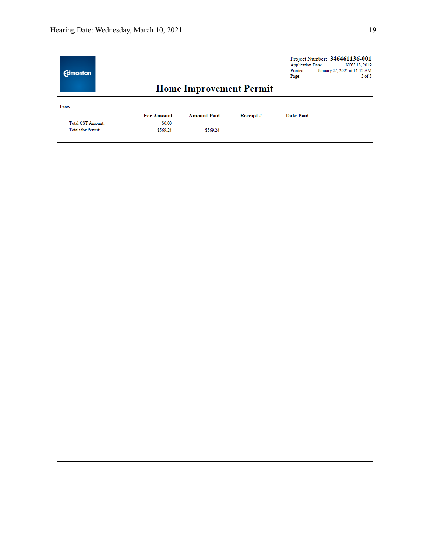| <b>Edmonton</b>          |                             |                                |          | <b>Application Date:</b><br>Printed:<br>Page: | Project Number: 346461136-001<br>NOV 13, 2019<br>January 27, 2021 at 11:12 AM<br>3 of 3 |
|--------------------------|-----------------------------|--------------------------------|----------|-----------------------------------------------|-----------------------------------------------------------------------------------------|
|                          |                             | <b>Home Improvement Permit</b> |          |                                               |                                                                                         |
| Fees                     |                             |                                |          |                                               |                                                                                         |
| <b>Total GST Amount:</b> | <b>Fee Amount</b><br>\$0.00 | <b>Amount Paid</b>             | Receipt# | <b>Date Paid</b>                              |                                                                                         |
| Totals for Permit:       | \$569.24                    | \$569.24                       |          |                                               |                                                                                         |
|                          |                             |                                |          |                                               |                                                                                         |
|                          |                             |                                |          |                                               |                                                                                         |
|                          |                             |                                |          |                                               |                                                                                         |
|                          |                             |                                |          |                                               |                                                                                         |
|                          |                             |                                |          |                                               |                                                                                         |
|                          |                             |                                |          |                                               |                                                                                         |
|                          |                             |                                |          |                                               |                                                                                         |
|                          |                             |                                |          |                                               |                                                                                         |
|                          |                             |                                |          |                                               |                                                                                         |
|                          |                             |                                |          |                                               |                                                                                         |
|                          |                             |                                |          |                                               |                                                                                         |
|                          |                             |                                |          |                                               |                                                                                         |
|                          |                             |                                |          |                                               |                                                                                         |
|                          |                             |                                |          |                                               |                                                                                         |
|                          |                             |                                |          |                                               |                                                                                         |
|                          |                             |                                |          |                                               |                                                                                         |
|                          |                             |                                |          |                                               |                                                                                         |
|                          |                             |                                |          |                                               |                                                                                         |
|                          |                             |                                |          |                                               |                                                                                         |
|                          |                             |                                |          |                                               |                                                                                         |
|                          |                             |                                |          |                                               |                                                                                         |
|                          |                             |                                |          |                                               |                                                                                         |
|                          |                             |                                |          |                                               |                                                                                         |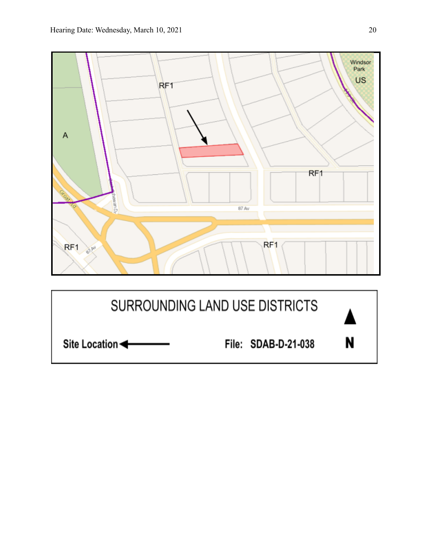

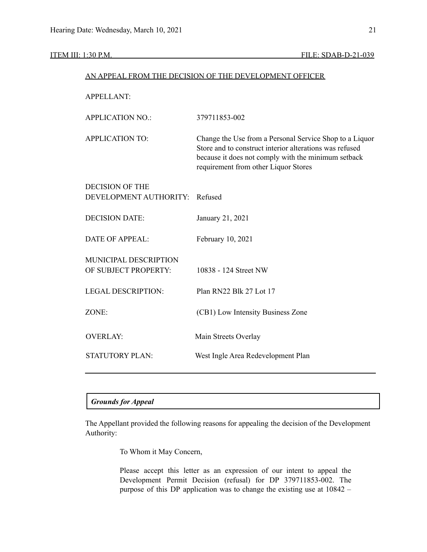| AN APPEAL FROM THE DECISION OF THE DEVELOPMENT OFFICER |                                                                                                                                                                                                                   |  |  |  |
|--------------------------------------------------------|-------------------------------------------------------------------------------------------------------------------------------------------------------------------------------------------------------------------|--|--|--|
| <b>APPELLANT:</b>                                      |                                                                                                                                                                                                                   |  |  |  |
| <b>APPLICATION NO.:</b>                                | 379711853-002                                                                                                                                                                                                     |  |  |  |
| <b>APPLICATION TO:</b>                                 | Change the Use from a Personal Service Shop to a Liquor<br>Store and to construct interior alterations was refused<br>because it does not comply with the minimum setback<br>requirement from other Liquor Stores |  |  |  |
| <b>DECISION OF THE</b>                                 |                                                                                                                                                                                                                   |  |  |  |
| DEVELOPMENT AUTHORITY: Refused                         |                                                                                                                                                                                                                   |  |  |  |
| <b>DECISION DATE:</b>                                  | January 21, 2021                                                                                                                                                                                                  |  |  |  |
| <b>DATE OF APPEAL:</b>                                 | February 10, 2021                                                                                                                                                                                                 |  |  |  |
| MUNICIPAL DESCRIPTION<br>OF SUBJECT PROPERTY:          | 10838 - 124 Street NW                                                                                                                                                                                             |  |  |  |
| <b>LEGAL DESCRIPTION:</b>                              | Plan RN22 Blk 27 Lot 17                                                                                                                                                                                           |  |  |  |
| ZONE:                                                  | (CB1) Low Intensity Business Zone                                                                                                                                                                                 |  |  |  |
| <b>OVERLAY:</b>                                        | Main Streets Overlay                                                                                                                                                                                              |  |  |  |
| <b>STATUTORY PLAN:</b>                                 | West Ingle Area Redevelopment Plan                                                                                                                                                                                |  |  |  |
|                                                        |                                                                                                                                                                                                                   |  |  |  |

### *Grounds for Appeal*

The Appellant provided the following reasons for appealing the decision of the Development Authority:

To Whom it May Concern,

Please accept this letter as an expression of our intent to appeal the Development Permit Decision (refusal) for DP 379711853-002. The purpose of this DP application was to change the existing use at 10842 –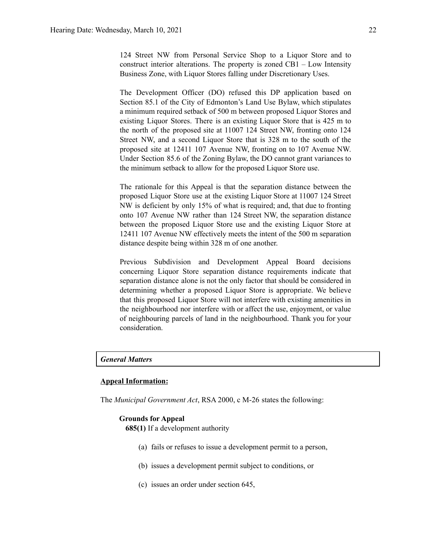124 Street NW from Personal Service Shop to a Liquor Store and to construct interior alterations. The property is zoned CB1 – Low Intensity Business Zone, with Liquor Stores falling under Discretionary Uses.

The Development Officer (DO) refused this DP application based on Section 85.1 of the City of Edmonton's Land Use Bylaw, which stipulates a minimum required setback of 500 m between proposed Liquor Stores and existing Liquor Stores. There is an existing Liquor Store that is 425 m to the north of the proposed site at 11007 124 Street NW, fronting onto 124 Street NW, and a second Liquor Store that is 328 m to the south of the proposed site at 12411 107 Avenue NW, fronting on to 107 Avenue NW. Under Section 85.6 of the Zoning Bylaw, the DO cannot grant variances to the minimum setback to allow for the proposed Liquor Store use.

The rationale for this Appeal is that the separation distance between the proposed Liquor Store use at the existing Liquor Store at 11007 124 Street NW is deficient by only 15% of what is required; and, that due to fronting onto 107 Avenue NW rather than 124 Street NW, the separation distance between the proposed Liquor Store use and the existing Liquor Store at 12411 107 Avenue NW effectively meets the intent of the 500 m separation distance despite being within 328 m of one another.

Previous Subdivision and Development Appeal Board decisions concerning Liquor Store separation distance requirements indicate that separation distance alone is not the only factor that should be considered in determining whether a proposed Liquor Store is appropriate. We believe that this proposed Liquor Store will not interfere with existing amenities in the neighbourhood nor interfere with or affect the use, enjoyment, or value of neighbouring parcels of land in the neighbourhood. Thank you for your consideration.

#### *General Matters*

#### **Appeal Information:**

The *Municipal Government Act*, RSA 2000, c M-26 states the following:

#### **Grounds for Appeal**

**685(1)** If a development authority

- (a) fails or refuses to issue a development permit to a person,
- (b) issues a development permit subject to conditions, or
- (c) issues an order under section 645,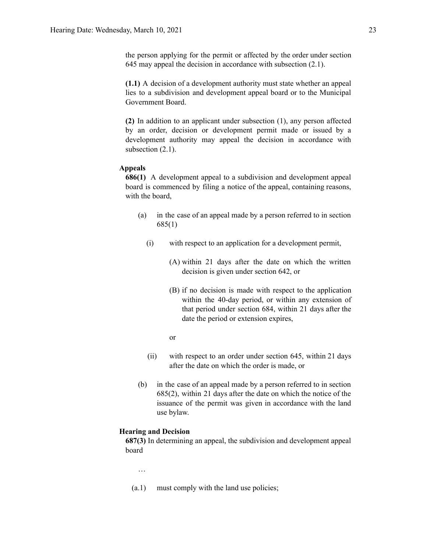the person applying for the permit or affected by the order under section 645 may appeal the decision in accordance with subsection (2.1).

**(1.1)** A decision of a development authority must state whether an appeal lies to a subdivision and development appeal board or to the Municipal Government Board.

**(2)** In addition to an applicant under subsection (1), any person affected by an order, decision or development permit made or issued by a development authority may appeal the decision in accordance with subsection  $(2.1)$ .

#### **Appeals**

**686(1)** A development appeal to a subdivision and development appeal board is commenced by filing a notice of the appeal, containing reasons, with the board,

- (a) in the case of an appeal made by a person referred to in section 685(1)
	- (i) with respect to an application for a development permit,
		- (A) within 21 days after the date on which the written decision is given under section 642, or
		- (B) if no decision is made with respect to the application within the 40-day period, or within any extension of that period under section 684, within 21 days after the date the period or extension expires,
		- or
	- (ii) with respect to an order under section 645, within 21 days after the date on which the order is made, or
- (b) in the case of an appeal made by a person referred to in section 685(2), within 21 days after the date on which the notice of the issuance of the permit was given in accordance with the land use bylaw.

#### **Hearing and Decision**

**687(3)** In determining an appeal, the subdivision and development appeal board

…

(a.1) must comply with the land use policies;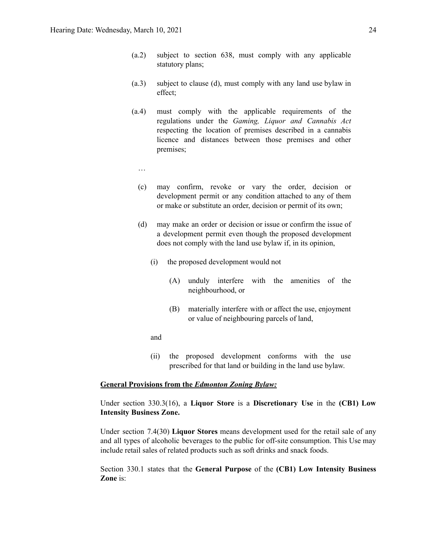- (a.2) subject to section 638, must comply with any applicable statutory plans;
- (a.3) subject to clause (d), must comply with any land use bylaw in effect;
- (a.4) must comply with the applicable requirements of the regulations under the *Gaming, Liquor and Cannabis Act* respecting the location of premises described in a cannabis licence and distances between those premises and other premises;
	- …
	- (c) may confirm, revoke or vary the order, decision or development permit or any condition attached to any of them or make or substitute an order, decision or permit of its own;
	- (d) may make an order or decision or issue or confirm the issue of a development permit even though the proposed development does not comply with the land use bylaw if, in its opinion,
		- (i) the proposed development would not
			- (A) unduly interfere with the amenities of the neighbourhood, or
			- (B) materially interfere with or affect the use, enjoyment or value of neighbouring parcels of land,
		- and
		- (ii) the proposed development conforms with the use prescribed for that land or building in the land use bylaw.

#### **General Provisions from the** *Edmonton Zoning Bylaw:*

Under section 330.3(16), a **Liquor Store** is a **Discretionary Use** in the **(CB1) Low Intensity Business Zone.**

Under section 7.4(30) **Liquor Stores** means development used for the retail sale of any and all types of alcoholic beverages to the public for off-site consumption. This Use may include retail sales of related products such as soft drinks and snack foods.

Section 330.1 states that the **General Purpose** of the **(CB1) Low Intensity Business Zone** is: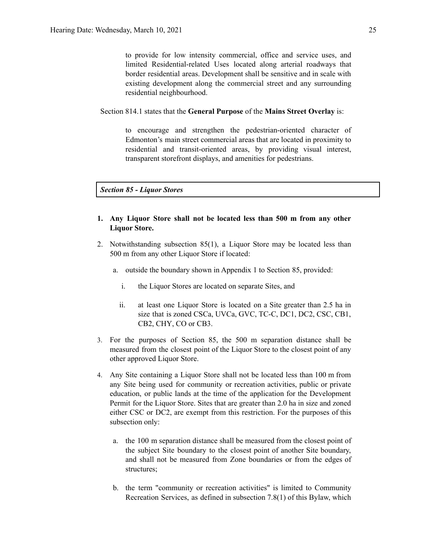to provide for low intensity commercial, office and service uses, and limited Residential-related Uses located along arterial roadways that border residential areas. Development shall be sensitive and in scale with existing development along the commercial street and any surrounding residential neighbourhood.

Section 814.1 states that the **General Purpose** of the **Mains Street Overlay** is:

to encourage and strengthen the pedestrian-oriented character of Edmonton's main street commercial areas that are located in proximity to residential and transit-oriented areas, by providing visual interest, transparent storefront displays, and amenities for pedestrians.

*Section 85 - Liquor Stores*

### **1. Any Liquor Store shall not be located less than [500](https://webdocs.edmonton.ca/InfraPlan/zoningbylaw/ZoningBylaw/Measurements/im500.htm) m from any other Liquor Store.**

- 2. Notwithstanding subsection 85(1), a Liquor Store may be located less than [500](https://webdocs.edmonton.ca/InfraPlan/zoningbylaw/ZoningBylaw/Measurements/im500.htm) m from any other Liquor Store if located:
	- a. outside the boundary shown in Appendix 1 to Section 85, provided:
		- i. the Liquor Stores are located on separate Sites, and
		- ii. at least one Liquor Store is located on a Site greater than 2.5 ha in size that is zoned [CSCa](https://webdocs.edmonton.ca/InfraPlan/zoningbylaw/ZoningBylaw/Part2/Special_Areas/960_5_(CSCa)_Ambleside_Shopping_Centre_Zone.htm), [UVCa,](https://webdocs.edmonton.ca/InfraPlan/zoningbylaw/ZoningBylaw/Part2/Special_Areas/960.6_(UVCa)_Ambleside_Urban_Village_Commercial_Zone.htm) [GVC,](https://webdocs.edmonton.ca/InfraPlan/zoningbylaw/ZoningBylaw/Part2/Special_Areas/940_6_(GVC)_Griesbach_Village_Centre_Zone.htm) [TC-C](https://webdocs.edmonton.ca/InfraPlan/zoningbylaw/ZoningBylaw/Part2/Special_Areas/990_4_(TC-C)_Heritage_Valley_Town_Centre_Commercial_Zone.htm), [DC1](https://webdocs.edmonton.ca/InfraPlan/zoningbylaw/ZoningBylaw/Part2/Direct/710_(DC1)_Direct_Development_Control_Provision.htm), [DC2,](https://webdocs.edmonton.ca/InfraPlan/zoningbylaw/ZoningBylaw/Part2/Direct/720_(DC2)_Site_Specific_Development_Control_Provision.htm) [CSC,](https://webdocs.edmonton.ca/InfraPlan/zoningbylaw/ZoningBylaw/Part2/Commercial/320_(CSC)_Shopping_Centre_Zone.htm) [CB1,](https://webdocs.edmonton.ca/InfraPlan/zoningbylaw/ZoningBylaw/Part2/Commercial/330_(CB1)_Low_Intensity_Business_Zone.htm) [CB2](https://webdocs.edmonton.ca/InfraPlan/zoningbylaw/ZoningBylaw/Part2/Commercial/340_(CB2)_General_Business_Zone.htm), [CHY,](https://webdocs.edmonton.ca/InfraPlan/zoningbylaw/ZoningBylaw/Part2/Commercial/350_(CHY)_Highway_Corridor_Zone.htm) [CO](https://webdocs.edmonton.ca/InfraPlan/zoningbylaw/ZoningBylaw/Part2/Commercial/360_(CO)_Commercial_Office_Zone.htm) or [CB3](https://webdocs.edmonton.ca/InfraPlan/zoningbylaw/ZoningBylaw/Part2/Commercial/370_(CB3)_Commercial_Mixed_Business_Zone.htm).
- 3. For the purposes of Section 85, the [500](https://webdocs.edmonton.ca/InfraPlan/zoningbylaw/ZoningBylaw/Measurements/im500.htm) m separation distance shall be measured from the closest point of the Liquor Store to the closest point of any other approved Liquor Store.
- 4. Any Site containing a Liquor Store shall not be located less than 100 m from any Site being used for community or recreation activities, public or private education, or public lands at the time of the application for the Development Permit for the Liquor Store. Sites that are greater than 2.0 ha in size and zoned either CSC or DC2, are exempt from this restriction. For the purposes of this subsection only:
	- a. the 100 m separation distance shall be measured from the closest point of the subject Site boundary to the closest point of another Site boundary, and shall not be measured from Zone boundaries or from the edges of structures;
	- b. the term "community or recreation activities" is limited to Community Recreation Services, as defined in subsection 7.8(1) of this Bylaw, which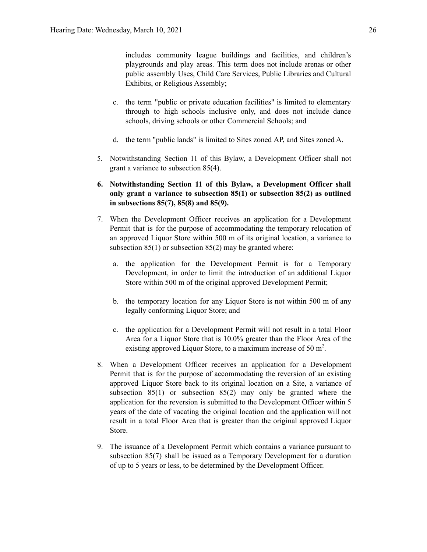includes community league buildings and facilities, and children's playgrounds and play areas. This term does not include arenas or other public assembly Uses, Child Care Services, Public Libraries and Cultural Exhibits, or Religious Assembly;

- c. the term "public or private education facilities" is limited to elementary through to high schools inclusive only, and does not include dance schools, driving schools or other Commercial Schools; and
- d. the term "public lands" is limited to Sites zoned AP, and Sites zoned A.
- 5. Notwithstanding Section 11 of this Bylaw, a Development Officer shall not grant a variance to subsection 85(4).
- **6. Notwithstanding Section 11 of this Bylaw, a Development Officer shall only grant a variance to subsection 85(1) or subsection 85(2) as outlined in subsections 85(7), 85(8) and 85(9).**
- 7. When the Development Officer receives an application for a Development Permit that is for the purpose of accommodating the temporary relocation of an approved Liquor Store within 500 m of its original location, a variance to subsection 85(1) or subsection 85(2) may be granted where:
	- a. the application for the Development Permit is for a Temporary Development, in order to limit the introduction of an additional Liquor Store within [500](https://webdocs.edmonton.ca/InfraPlan/zoningbylaw/ZoningBylaw/Measurements/im500.htm) m of the original approved Development Permit;
	- b. the temporary location for any Liquor Store is not within [500](https://webdocs.edmonton.ca/InfraPlan/zoningbylaw/ZoningBylaw/Measurements/im500.htm) m of any legally conforming Liquor Store; and
	- c. the application for a Development Permit will not result in a total Floor Area for a Liquor Store that is 10.0% greater than the Floor Area of the existing approved Liquor Store, to a maximum increase of [50](https://webdocs.edmonton.ca/InfraPlan/zoningbylaw/ZoningBylaw/Measurements/ia50.htm) m<sup>2</sup>.
- 8. When a Development Officer receives an application for a Development Permit that is for the purpose of accommodating the reversion of an existing approved Liquor Store back to its original location on a Site, a variance of subsection 85(1) or subsection 85(2) may only be granted where the application for the reversion is submitted to the Development Officer within 5 years of the date of vacating the original location and the application will not result in a total Floor Area that is greater than the original approved Liquor Store.
- 9. The issuance of a Development Permit which contains a variance pursuant to subsection 85(7) shall be issued as a Temporary Development for a duration of up to 5 years or less, to be determined by the Development Officer.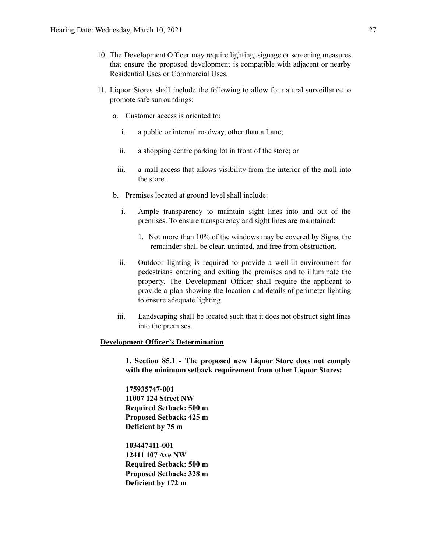- 10. The Development Officer may require lighting, signage or screening measures that ensure the proposed development is compatible with adjacent or nearby Residential Uses or Commercial Uses.
- 11. Liquor Stores shall include the following to allow for natural surveillance to promote safe surroundings:
	- a. Customer access is oriented to:
		- i. a public or internal roadway, other than a Lane;
		- ii. a shopping centre parking lot in front of the store; or
	- iii. a mall access that allows visibility from the interior of the mall into the store.
	- b. Premises located at ground level shall include:
		- i. Ample transparency to maintain sight lines into and out of the premises. To ensure transparency and sight lines are maintained:
			- 1. Not more than 10% of the windows may be covered by Signs, the remainder shall be clear, untinted, and free from obstruction.
		- ii. Outdoor lighting is required to provide a well-lit environment for pedestrians entering and exiting the premises and to illuminate the property. The Development Officer shall require the applicant to provide a plan showing the location and details of perimeter lighting to ensure adequate lighting.
		- iii. Landscaping shall be located such that it does not obstruct sight lines into the premises.

#### **Development Officer's Determination**

**1. Section 85.1 - The proposed new Liquor Store does not comply with the minimum setback requirement from other Liquor Stores:**

**175935747-001 11007 124 Street NW Required Setback: 500 m Proposed Setback: 425 m Deficient by 75 m**

**103447411-001 12411 107 Ave NW Required Setback: 500 m Proposed Setback: 328 m Deficient by 172 m**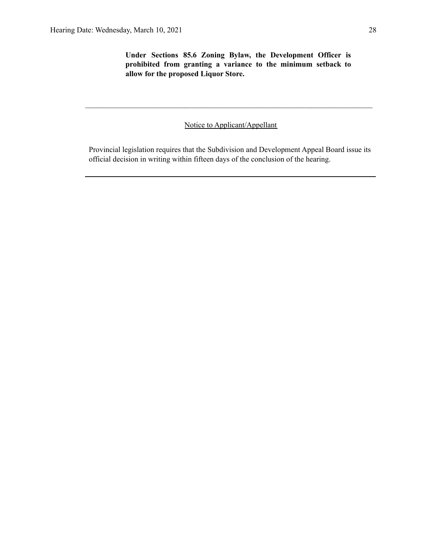**Under Sections 85.6 Zoning Bylaw, the Development Officer is prohibited from granting a variance to the minimum setback to allow for the proposed Liquor Store.**

### Notice to Applicant/Appellant

 $\mathcal{L}_\text{max} = \frac{1}{2} \sum_{i=1}^n \mathcal{L}_\text{max} = \frac{1}{2} \sum_{i=1}^n \mathcal{L}_\text{max} = \frac{1}{2} \sum_{i=1}^n \mathcal{L}_\text{max} = \frac{1}{2} \sum_{i=1}^n \mathcal{L}_\text{max} = \frac{1}{2} \sum_{i=1}^n \mathcal{L}_\text{max} = \frac{1}{2} \sum_{i=1}^n \mathcal{L}_\text{max} = \frac{1}{2} \sum_{i=1}^n \mathcal{L}_\text{max} = \frac{1}{2} \sum_{i=$ 

Provincial legislation requires that the Subdivision and Development Appeal Board issue its official decision in writing within fifteen days of the conclusion of the hearing.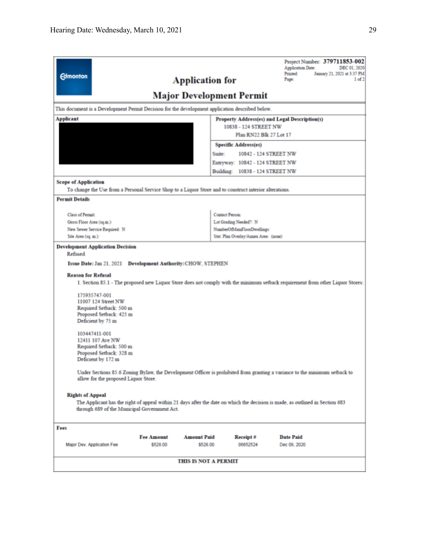| <b>Application for</b>                                                                                  | Project Number: 379711853-002<br>Application Date:<br>DEC 01, 2020<br>Printed:<br>January 21, 2021 at 3:37 PM<br>Page:<br>1 of 2                                                                                                                             |  |  |  |  |  |  |  |
|---------------------------------------------------------------------------------------------------------|--------------------------------------------------------------------------------------------------------------------------------------------------------------------------------------------------------------------------------------------------------------|--|--|--|--|--|--|--|
| <b>Major Development Permit</b>                                                                         |                                                                                                                                                                                                                                                              |  |  |  |  |  |  |  |
| This document is a Development Permit Decision for the development application described below.         |                                                                                                                                                                                                                                                              |  |  |  |  |  |  |  |
| <b>Applicant</b><br>Property Address(es) and Legal Description(s)                                       |                                                                                                                                                                                                                                                              |  |  |  |  |  |  |  |
| 10838 - 124 STREET NW                                                                                   |                                                                                                                                                                                                                                                              |  |  |  |  |  |  |  |
| Plan RN22 Blk 27 Lot 17                                                                                 |                                                                                                                                                                                                                                                              |  |  |  |  |  |  |  |
| <b>Specific Address(es)</b>                                                                             |                                                                                                                                                                                                                                                              |  |  |  |  |  |  |  |
| 10842 - 124 STREET NW<br>Suite:                                                                         |                                                                                                                                                                                                                                                              |  |  |  |  |  |  |  |
| Entryway: 10842 - 124 STREET NW                                                                         |                                                                                                                                                                                                                                                              |  |  |  |  |  |  |  |
| Building: 10838 - 124 STREET NW                                                                         |                                                                                                                                                                                                                                                              |  |  |  |  |  |  |  |
|                                                                                                         |                                                                                                                                                                                                                                                              |  |  |  |  |  |  |  |
| To change the Use from a Personal Service Shop to a Liquor Store and to construct interior alterations. |                                                                                                                                                                                                                                                              |  |  |  |  |  |  |  |
|                                                                                                         |                                                                                                                                                                                                                                                              |  |  |  |  |  |  |  |
| Contact Person:                                                                                         |                                                                                                                                                                                                                                                              |  |  |  |  |  |  |  |
| Lot Grading Needed?: N                                                                                  |                                                                                                                                                                                                                                                              |  |  |  |  |  |  |  |
| NumberOfMainFloorDwellings:                                                                             |                                                                                                                                                                                                                                                              |  |  |  |  |  |  |  |
| New Sewer Service Required: N<br>Site Area (sq. m.):<br>Stat. Plan Overlay/Annex Area: (none)           |                                                                                                                                                                                                                                                              |  |  |  |  |  |  |  |
|                                                                                                         | 1. Section 85.1 - The proposed new Liquor Store does not comply with the minimum setback requirement from other Liquor Stores:<br>Under Sections 85.6 Zoning Bylaw, the Development Officer is prohibited from granting a variance to the minimum setback to |  |  |  |  |  |  |  |
|                                                                                                         | The Applicant has the right of appeal within 21 days after the date on which the decision is made, as outlined in Section 683                                                                                                                                |  |  |  |  |  |  |  |
| Receipt#                                                                                                | <b>Date Paid</b>                                                                                                                                                                                                                                             |  |  |  |  |  |  |  |
| 06852524                                                                                                | Dec 09, 2020                                                                                                                                                                                                                                                 |  |  |  |  |  |  |  |
|                                                                                                         |                                                                                                                                                                                                                                                              |  |  |  |  |  |  |  |
|                                                                                                         | <b>THIS IS NOT A PERMIT</b>                                                                                                                                                                                                                                  |  |  |  |  |  |  |  |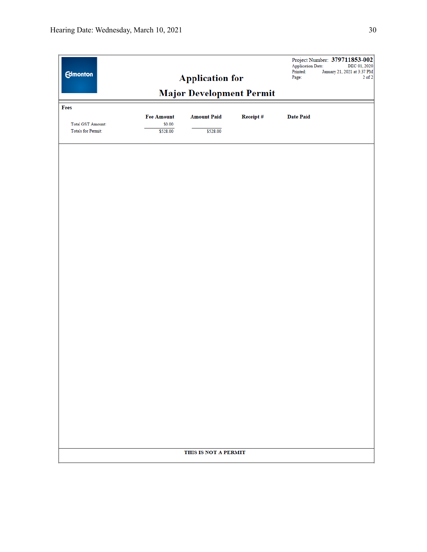| <b>Edmonton</b>                                | <b>Application for</b><br><b>Major Development Permit</b> |                      |          | Printed:<br>Page: | Project Number: 379711853-002<br><b>Application Date:</b><br>DEC 01, 2020<br>January 21, 2021 at 3:37 PM<br>$2$ of $2$ |  |  |
|------------------------------------------------|-----------------------------------------------------------|----------------------|----------|-------------------|------------------------------------------------------------------------------------------------------------------------|--|--|
| Fees                                           |                                                           |                      |          |                   |                                                                                                                        |  |  |
|                                                | <b>Fee Amount</b>                                         | <b>Amount Paid</b>   | Receipt# | <b>Date Paid</b>  |                                                                                                                        |  |  |
| Total GST Amount:<br><b>Totals for Permit:</b> | \$0.00<br>\$528.00                                        | \$528.00             |          |                   |                                                                                                                        |  |  |
|                                                |                                                           |                      |          |                   |                                                                                                                        |  |  |
|                                                |                                                           |                      |          |                   |                                                                                                                        |  |  |
|                                                |                                                           |                      |          |                   |                                                                                                                        |  |  |
|                                                |                                                           |                      |          |                   |                                                                                                                        |  |  |
|                                                |                                                           |                      |          |                   |                                                                                                                        |  |  |
|                                                |                                                           |                      |          |                   |                                                                                                                        |  |  |
|                                                |                                                           |                      |          |                   |                                                                                                                        |  |  |
|                                                |                                                           |                      |          |                   |                                                                                                                        |  |  |
|                                                |                                                           |                      |          |                   |                                                                                                                        |  |  |
|                                                |                                                           |                      |          |                   |                                                                                                                        |  |  |
|                                                |                                                           |                      |          |                   |                                                                                                                        |  |  |
|                                                |                                                           |                      |          |                   |                                                                                                                        |  |  |
|                                                |                                                           |                      |          |                   |                                                                                                                        |  |  |
|                                                |                                                           |                      |          |                   |                                                                                                                        |  |  |
|                                                |                                                           |                      |          |                   |                                                                                                                        |  |  |
|                                                |                                                           |                      |          |                   |                                                                                                                        |  |  |
|                                                |                                                           |                      |          |                   |                                                                                                                        |  |  |
|                                                |                                                           |                      |          |                   |                                                                                                                        |  |  |
|                                                |                                                           | THIS IS NOT A PERMIT |          |                   |                                                                                                                        |  |  |